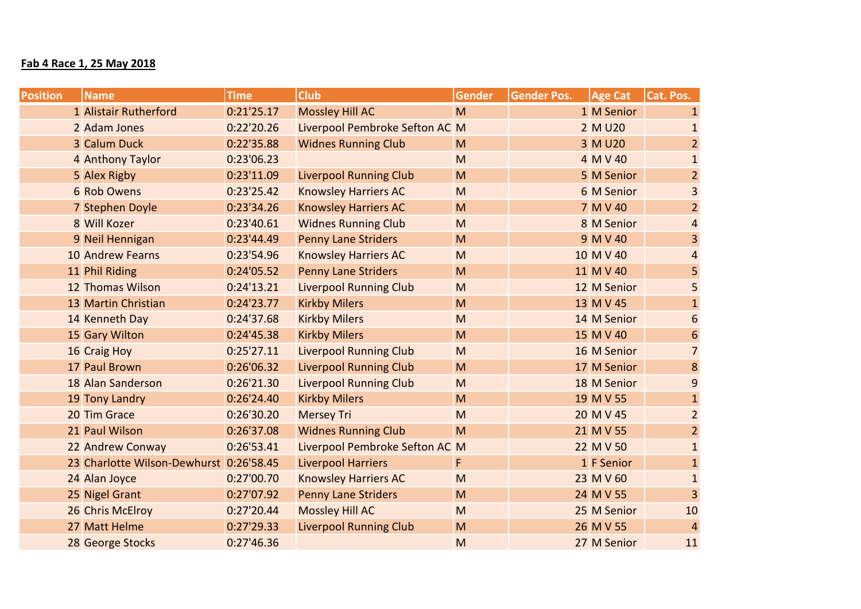## **Fab 4 Race 1, 25 May 2018**

| <b>Position</b> | <b>Name</b>                             | <b>Time</b> | <b>Club</b>                    | <b>Gender</b> | <b>Gender Pos.</b> | <b>Age Cat</b> | Cat. Pos.        |
|-----------------|-----------------------------------------|-------------|--------------------------------|---------------|--------------------|----------------|------------------|
|                 | 1 Alistair Rutherford                   | 0:21'25.17  | <b>Mossley Hill AC</b>         | M             |                    | 1 M Senior     | $\mathbf{1}$     |
|                 | 2 Adam Jones                            | 0:22'20.26  | Liverpool Pembroke Sefton AC M |               |                    | 2 M U20        | $\mathbf{1}$     |
|                 | 3 Calum Duck                            | 0:22'35.88  | <b>Widnes Running Club</b>     | M             |                    | 3 M U20        | $\overline{2}$   |
|                 | 4 Anthony Taylor                        | 0:23'06.23  |                                | M             |                    | 4 M V 40       | $1\,$            |
|                 | 5 Alex Rigby                            | 0:23'11.09  | <b>Liverpool Running Club</b>  | M             |                    | 5 M Senior     | $\overline{2}$   |
|                 | 6 Rob Owens                             | 0:23'25.42  | <b>Knowsley Harriers AC</b>    | M             |                    | 6 M Senior     | $\overline{3}$   |
|                 | 7 Stephen Doyle                         | 0:23'34.26  | <b>Knowsley Harriers AC</b>    | M             |                    | 7 M V 40       | $\overline{2}$   |
|                 | 8 Will Kozer                            | 0:23'40.61  | <b>Widnes Running Club</b>     | M             |                    | 8 M Senior     | $\overline{4}$   |
|                 | 9 Neil Hennigan                         | 0:23'44.49  | <b>Penny Lane Striders</b>     | M             |                    | 9 M V 40       | $\overline{3}$   |
|                 | <b>10 Andrew Fearns</b>                 | 0:23'54.96  | <b>Knowsley Harriers AC</b>    | M             |                    | 10 M V 40      | $\overline{4}$   |
|                 | 11 Phil Riding                          | 0:24'05.52  | <b>Penny Lane Striders</b>     | M             |                    | 11 M V 40      | 5                |
|                 | 12 Thomas Wilson                        | 0:24'13.21  | <b>Liverpool Running Club</b>  | M             |                    | 12 M Senior    | 5                |
|                 | 13 Martin Christian                     | 0:24'23.77  | <b>Kirkby Milers</b>           | M             |                    | 13 M V 45      | $\mathbf{1}$     |
|                 | 14 Kenneth Day                          | 0:24'37.68  | <b>Kirkby Milers</b>           | M             |                    | 14 M Senior    | $\boldsymbol{6}$ |
|                 | 15 Gary Wilton                          | 0:24'45.38  | <b>Kirkby Milers</b>           | M             |                    | 15 M V 40      | $6\phantom{1}$   |
|                 | 16 Craig Hoy                            | 0:25'27.11  | <b>Liverpool Running Club</b>  | M             |                    | 16 M Senior    | $\overline{7}$   |
|                 | 17 Paul Brown                           | 0:26'06.32  | <b>Liverpool Running Club</b>  | M             |                    | 17 M Senior    | $\bf 8$          |
|                 | 18 Alan Sanderson                       | 0:26'21.30  | <b>Liverpool Running Club</b>  | M             |                    | 18 M Senior    | $\overline{9}$   |
|                 | 19 Tony Landry                          | 0:26'24.40  | <b>Kirkby Milers</b>           | M             |                    | 19 M V 55      | $1\,$            |
|                 | 20 Tim Grace                            | 0:26'30.20  | <b>Mersey Tri</b>              | M             |                    | 20 M V 45      | $\overline{2}$   |
|                 | 21 Paul Wilson                          | 0:26'37.08  | <b>Widnes Running Club</b>     | M             |                    | 21 M V 55      | $\overline{2}$   |
|                 | 22 Andrew Conway                        | 0:26'53.41  | Liverpool Pembroke Sefton AC M |               |                    | 22 M V 50      | $\mathbf{1}$     |
|                 | 23 Charlotte Wilson-Dewhurst 0:26'58.45 |             | <b>Liverpool Harriers</b>      | F             |                    | 1 F Senior     | $\mathbf{1}$     |
|                 | 24 Alan Joyce                           | 0:27'00.70  | <b>Knowsley Harriers AC</b>    | M             |                    | 23 M V 60      | $\mathbf{1}$     |
|                 | 25 Nigel Grant                          | 0:27'07.92  | <b>Penny Lane Striders</b>     | M             |                    | 24 M V 55      | $\overline{3}$   |
|                 | 26 Chris McElroy                        | 0:27'20.44  | <b>Mossley Hill AC</b>         | M             |                    | 25 M Senior    | 10               |
|                 | 27 Matt Helme                           | 0:27'29.33  | <b>Liverpool Running Club</b>  | M             |                    | 26 M V 55      | $\overline{4}$   |
|                 | 28 George Stocks                        | 0:27'46.36  |                                | M             |                    | 27 M Senior    | 11               |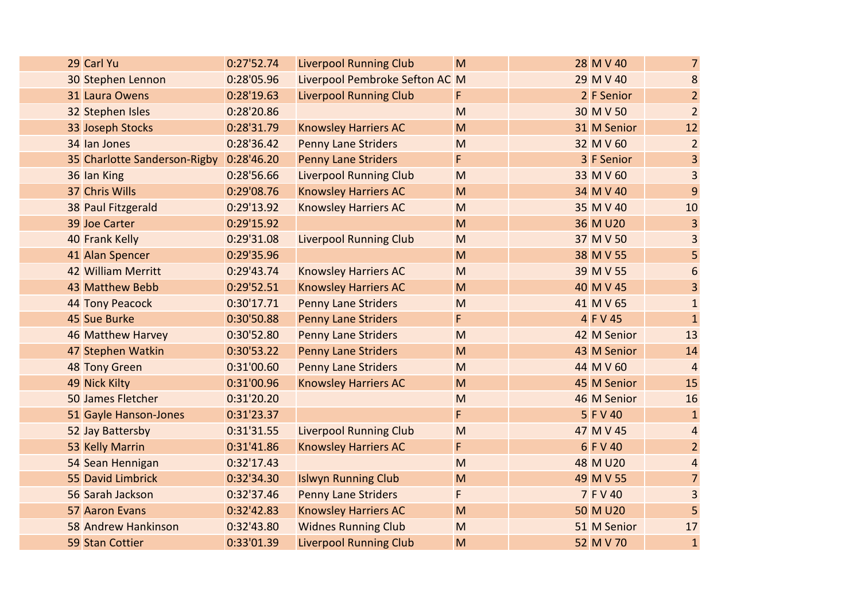|  | 29 Carl Yu                              | 0:27'52.74 | <b>Liverpool Running Club</b>  | M                                                                                     | 28 M V 40   | $\overline{7}$ |
|--|-----------------------------------------|------------|--------------------------------|---------------------------------------------------------------------------------------|-------------|----------------|
|  | 30 Stephen Lennon                       | 0:28'05.96 | Liverpool Pembroke Sefton AC M |                                                                                       | 29 M V 40   | $\bf 8$        |
|  | 31 Laura Owens                          | 0:28'19.63 | <b>Liverpool Running Club</b>  | F                                                                                     | 2 F Senior  | $\overline{2}$ |
|  | 32 Stephen Isles                        | 0:28'20.86 |                                | M                                                                                     | 30 M V 50   | $\overline{2}$ |
|  | 33 Joseph Stocks                        | 0:28'31.79 | <b>Knowsley Harriers AC</b>    | M                                                                                     | 31 M Senior | 12             |
|  | 34 Ian Jones                            | 0:28'36.42 | <b>Penny Lane Striders</b>     | M                                                                                     | 32 M V 60   | $\overline{2}$ |
|  | 35 Charlotte Sanderson-Rigby 0:28'46.20 |            | <b>Penny Lane Striders</b>     | F                                                                                     | 3 F Senior  | $\overline{3}$ |
|  | 36 Ian King                             | 0:28'56.66 | <b>Liverpool Running Club</b>  | M                                                                                     | 33 M V 60   | 3              |
|  | 37 Chris Wills                          | 0:29'08.76 | <b>Knowsley Harriers AC</b>    | M                                                                                     | 34 M V 40   | 9              |
|  | 38 Paul Fitzgerald                      | 0:29'13.92 | <b>Knowsley Harriers AC</b>    | M                                                                                     | 35 M V 40   | 10             |
|  | 39 Joe Carter                           | 0:29'15.92 |                                | M                                                                                     | 36 M U20    | $\overline{3}$ |
|  | 40 Frank Kelly                          | 0:29'31.08 | <b>Liverpool Running Club</b>  | M                                                                                     | 37 M V 50   | $\overline{3}$ |
|  | 41 Alan Spencer                         | 0:29'35.96 |                                | M                                                                                     | 38 M V 55   | 5              |
|  | 42 William Merritt                      | 0:29'43.74 | <b>Knowsley Harriers AC</b>    | M                                                                                     | 39 M V 55   | $\sqrt{6}$     |
|  | 43 Matthew Bebb                         | 0:29'52.51 | <b>Knowsley Harriers AC</b>    | M                                                                                     | 40 M V 45   | $\overline{3}$ |
|  | 44 Tony Peacock                         | 0:30'17.71 | <b>Penny Lane Striders</b>     | M                                                                                     | 41 M V 65   | $\mathbf{1}$   |
|  | 45 Sue Burke                            | 0:30'50.88 | <b>Penny Lane Striders</b>     | F                                                                                     | 4 F V 45    | $\mathbf{1}$   |
|  | 46 Matthew Harvey                       | 0:30'52.80 | <b>Penny Lane Striders</b>     | M                                                                                     | 42 M Senior | 13             |
|  | 47 Stephen Watkin                       | 0:30'53.22 | <b>Penny Lane Striders</b>     | M                                                                                     | 43 M Senior | 14             |
|  | 48 Tony Green                           | 0:31'00.60 | <b>Penny Lane Striders</b>     | M                                                                                     | 44 M V 60   | $\overline{4}$ |
|  | 49 Nick Kilty                           | 0:31'00.96 | <b>Knowsley Harriers AC</b>    | M                                                                                     | 45 M Senior | 15             |
|  | 50 James Fletcher                       | 0:31'20.20 |                                | M                                                                                     | 46 M Senior | 16             |
|  | 51 Gayle Hanson-Jones                   | 0:31'23.37 |                                | F                                                                                     | 5 F V 40    | $\mathbf{1}$   |
|  | 52 Jay Battersby                        | 0:31'31.55 | <b>Liverpool Running Club</b>  | M                                                                                     | 47 M V 45   | $\overline{4}$ |
|  | 53 Kelly Marrin                         | 0:31'41.86 | <b>Knowsley Harriers AC</b>    | F                                                                                     | 6 F V 40    | $\overline{2}$ |
|  | 54 Sean Hennigan                        | 0:32'17.43 |                                | M                                                                                     | 48 M U20    | $\overline{4}$ |
|  | 55 David Limbrick                       | 0:32'34.30 | <b>Islwyn Running Club</b>     | M                                                                                     | 49 M V 55   | $\overline{7}$ |
|  | 56 Sarah Jackson                        | 0:32'37.46 | <b>Penny Lane Striders</b>     | F                                                                                     | 7 F V 40    | $\overline{3}$ |
|  | 57 Aaron Evans                          | 0:32'42.83 | <b>Knowsley Harriers AC</b>    | M                                                                                     | 50 M U20    | 5              |
|  | <b>58 Andrew Hankinson</b>              | 0:32'43.80 | <b>Widnes Running Club</b>     | $\mathsf{M}% _{T}=\mathsf{M}_{T}\!\left( a,b\right) ,\ \mathsf{M}_{T}=\mathsf{M}_{T}$ | 51 M Senior | 17             |
|  | 59 Stan Cottier                         | 0:33'01.39 | <b>Liverpool Running Club</b>  | M                                                                                     | 52 M V 70   | $\mathbf{1}$   |